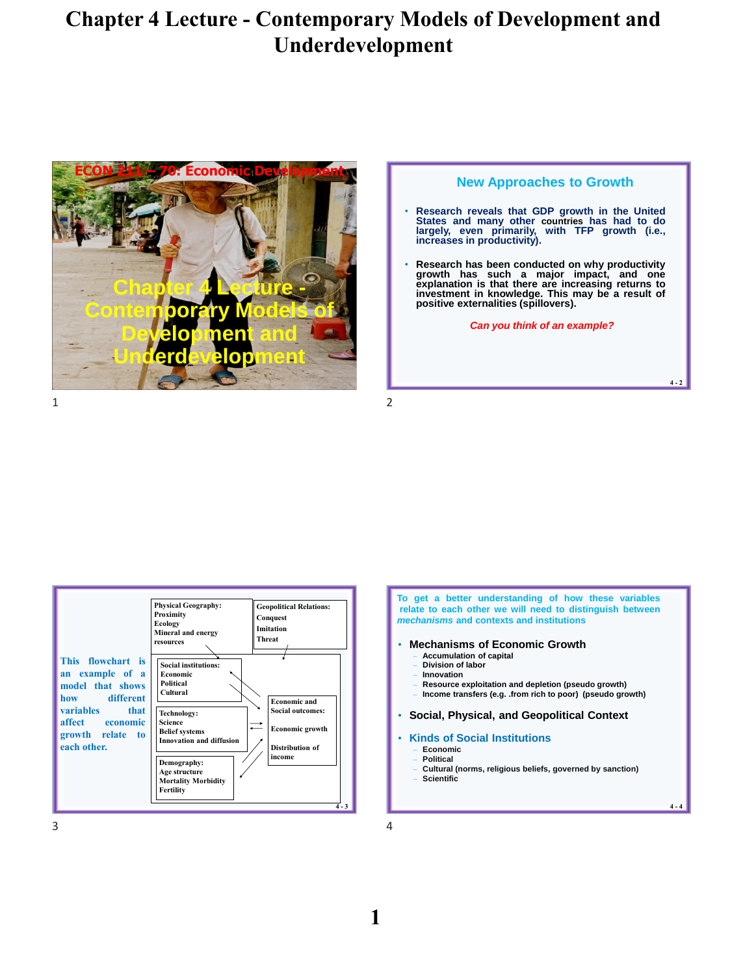

#### **New Approaches to Growth**

- **Research reveals that GDP growth in the United** States and many other countries has had to do<br>largely, even primarily, with TFP growth (i.e.,<br>increases.in.productivity).
- Research has been conducted on why productivity<br>growth has such a major impact, and one<br>explanation is that there are increasing returns to **investment in knowledge. This may be a result of positive externalities (spillovers).**

*Can you think of an example?*

**4 - 2**

**4 - 4**



**To get a better understanding of how these variables relate to each other we will need to distinguish between** *mechanisms* **and contexts and institutions**

- **Mechanisms of Economic Growth**
	- **Accumulation of capital**
	- **Division of labor**
	- **Innovation**
	- **Resource exploitation and depletion (pseudo growth)**
	- **Income transfers (e.g. .from rich to poor) (pseudo growth)**

• **Social, Physical, and Geopolitical Context**

#### • **Kinds of Social Institutions**

- **Economic** – **Political**
- **Cultural (norms, religious beliefs, governed by sanction)**
- **Scientific**

**1**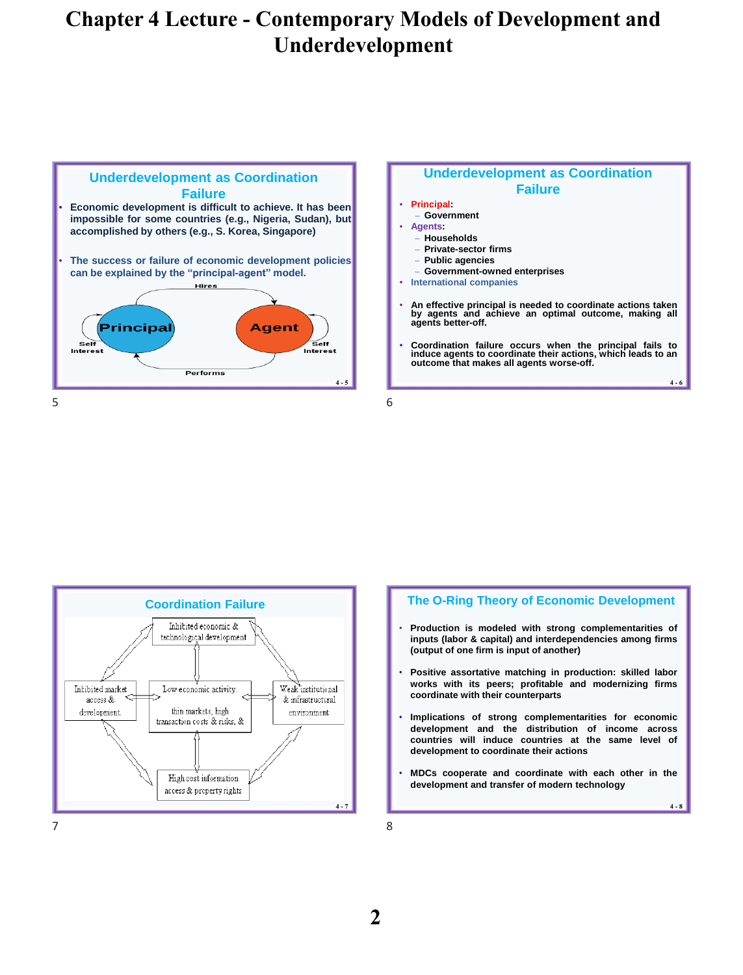

### **Underdevelopment as Coordination Failure**

### • **Principal:**

- **Government** • **Agents:**
- **Households**
- **Private-sector firms**
- **Public agencies**
- **Government-owned enterprises**
- **International companies**
- **An effective principal is needed to coordinate actions taken by agents and achieve an optimal outcome, making all agents better-off.**
- **Coordination failure occurs when the principal fails to induce agents to coordinate their actions, which leads to an outcome that makes all agents worse-off.**

**4 - 6**

**4 - 8**



### **The O-Ring Theory of Economic Development**

- **Production is modeled with strong complementarities of inputs (labor & capital) and interdependencies among firms (output of one firm is input of another)**
- **Positive assortative matching in production: skilled labor works with its peers; profitable and modernizing firms coordinate with their counterparts**
- **Implications of strong complementarities for economic development and the distribution of income across countries will induce countries at the same level of development to coordinate their actions**
- **MDCs cooperate and coordinate with each other in the development and transfer of modern technology**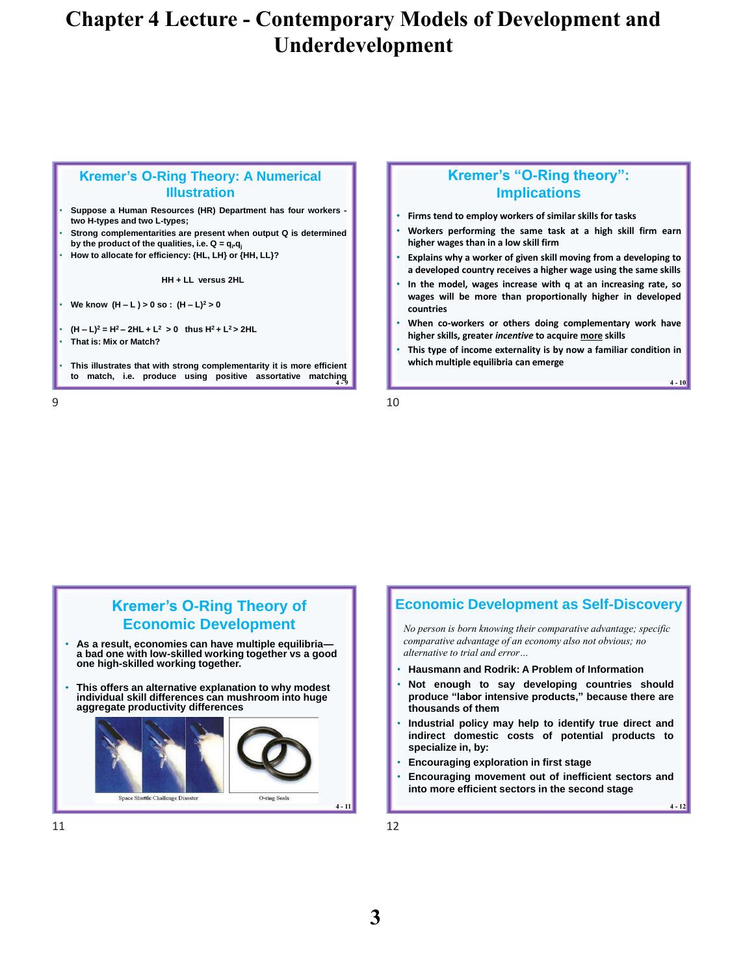### **Kremer's O-Ring Theory: A Numerical Illustration**

- **Suppose a Human Resources (HR) Department has four workers two H-types and two L-types;**
- **Strong complementarities are present when output Q is determined by** the product of the qualities, i.e.  $Q = q_i q_i$
- **How to allocate for efficiency: {HL, LH} or {HH, LL}?**

#### **HH + LL versus 2HL**

- **We know (H – L ) > 0 so : (H – L)<sup>2</sup> > 0**
- **(H – L)<sup>2</sup> = H<sup>2</sup> – 2HL + L<sup>2</sup> > 0 thus H<sup>2</sup> + L<sup>2</sup> > 2HL**
- **That is: Mix or Match?**

**4 - 9 to match, i.e. produce using positive assortative matching** • **This illustrates that with strong complementarity it is more efficient**

## **Kremer's "O-Ring theory": Implications**

- **Firms tend to employ workers of similar skills for tasks**
- **Workers performing the same task at a high skill firm earn higher wages than in a low skill firm**
- **Explains why a worker of given skill moving from a developing to a developed country receives a higher wage using the same skills**
- **In the model, wages increase with q at an increasing rate, so wages will be more than proportionally higher in developed countries**
- **When co-workers or others doing complementary work have higher skills, greater** *incentive* **to acquire more skills**
- **This type of income externality is by now a familiar condition in which multiple equilibria can emerge**

**4 - 10**

**4 - 12**

 $9 \hspace{2.5cm} 10$ 



### **Economic Development as Self-Discovery**

*No person is born knowing their comparative advantage; specific comparative advantage of an economy also not obvious; no alternative to trial and error…*

- **Hausmann and Rodrik: A Problem of Information**
- **Not enough to say developing countries should produce "labor intensive products," because there are thousands of them**
- **Industrial policy may help to identify true direct and indirect domestic costs of potential products to specialize in, by:**
- **Encouraging exploration in first stage**
- **Encouraging movement out of inefficient sectors and into more efficient sectors in the second stage**

11 12